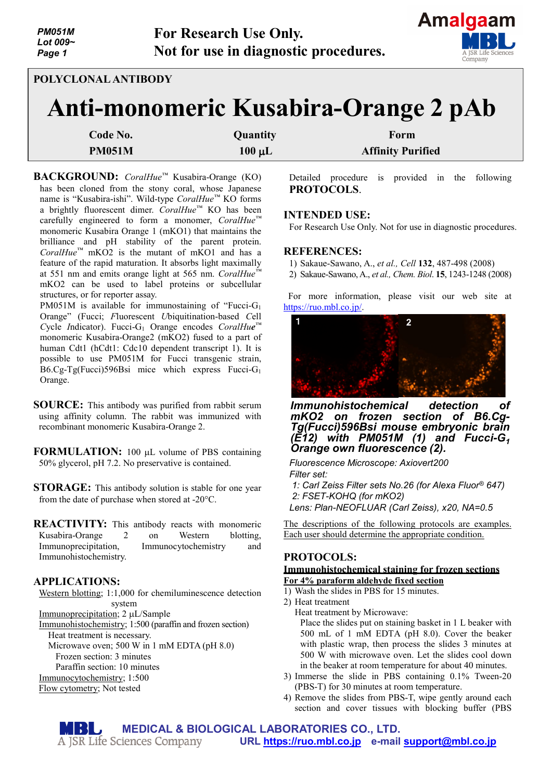

# **POLYCLONAL ANTIBODY**

# **Anti-monomeric Kusabira-Orange 2 pAb**

| Code No.      | Quantity    | Form                     |
|---------------|-------------|--------------------------|
| <b>PM051M</b> | $100 \mu L$ | <b>Affinity Purified</b> |

**BACKGROUND:** *CoralHue™* Kusabira-Orange (KO) has been cloned from the stony coral, whose Japanese name is "Kusabira-ishi". Wild-type *CoralHue™* KO forms a brightly fluorescent dimer. *CoralHue™* KO has been carefully engineered to form a monomer, *CoralHue™* monomeric Kusabira Orange 1 (mKO1) that maintains the brilliance and pH stability of the parent protein. *CoralHue™* mKO2 is the mutant of mKO1 and has a feature of the rapid maturation. It absorbs light maximally at 551 nm and emits orange light at 565 nm. *CoralHue™* mKO2 can be used to label proteins or subcellular structures, or for reporter assay.

PM051M is available for immunostaining of "Fucci-G<sub>1</sub> Orange" (Fucci; *F*luorescent *U*biquitination-based *C*ell *C*ycle *I*ndicator). Fucci-G1 Orange encodes *CoralHue™* monomeric Kusabira-Orange2 (mKO2) fused to a part of human Cdt1 (hCdt1: Cdc10 dependent transcript 1). It is possible to use PM051M for Fucci transgenic strain, B6.Cg-Tg(Fucci)596Bsi mice which express Fucci-G1 Orange.

- **SOURCE:** This antibody was purified from rabbit serum using affinity column. The rabbit was immunized with recombinant monomeric Kusabira-Orange 2.
- **FORMULATION:** 100 µL volume of PBS containing 50% glycerol, pH 7.2. No preservative is contained.
- **STORAGE:** This antibody solution is stable for one year from the date of purchase when stored at -20°C.
- **REACTIVITY:** This antibody reacts with monomeric Kusabira-Orange 2 on Western blotting, Immunoprecipitation, Immunocytochemistry and Immunohistochemistry.

## **APPLICATIONS:**

Western blotting; 1:1,000 for chemiluminescence detection system

Immunoprecipitation; 2 µL/Sample

Immunohistochemistry; 1:500 (paraffin and frozen section) Heat treatment is necessary.

Microwave oven; 500 W in 1 mM EDTA (pH 8.0)

Frozen section: 3 minutes

- Paraffin section: 10 minutes
- Immunocytochemistry; 1:500

Flow cytometry; Not tested

Detailed procedure is provided in the following **PROTOCOLS**.

#### **INTENDED USE:**

For Research Use Only. Not for use in diagnostic procedures.

#### **REFERENCES:**

- 1) Sakaue-Sawano, A., *et al., Cell* **132**, 487-498 (2008)
- 2) Sakaue-Sawano, A., *et al., Chem. Biol*. **15**, 1243-1248 (2008)

For more information, please visit our web site at [https://ruo.mbl.co.jp/.](https://ruo.mbl.co.jp/)



*Immunohistochemical detection of mKO2 on frozen section of B6.Cg- Tg(Fucci)596Bsi mouse embryonic brain (E12) with PM051M (1) and Fucci-G1 Orange own fluorescence (2).*

*Fluorescence Microscope: Axiovert200 Filter set:*

*1: Carl Zeiss Filter sets No.26 (for Alexa Fluor® 647) 2: FSET-KOHQ (for mKO2)*

*Lens: Plan-NEOFLUAR (Carl Zeiss), x20, NA=0.5*

The descriptions of the following protocols are examples. Each user should determine the appropriate condition.

#### **PROTOCOLS: Immunohistochemical staining for frozen sections For 4% paraform aldehyde fixed section**

- 1) Wash the slides in PBS for 15 minutes.
- 2) Heat treatment
	- Heat treatment by Microwave: Place the slides put on staining basket in 1 L beaker with 500 mL of 1 mM EDTA (pH 8.0). Cover the beaker with plastic wrap, then process the slides 3 minutes at 500 W with microwave oven. Let the slides cool down in the beaker at room temperature for about 40 minutes.
- 3) Immerse the slide in PBS containing 0.1% Tween-20 (PBS-T) for 30 minutes at room temperature.
- 4) Remove the slides from PBS-T, wipe gently around each section and cover tissues with blocking buffer (PBS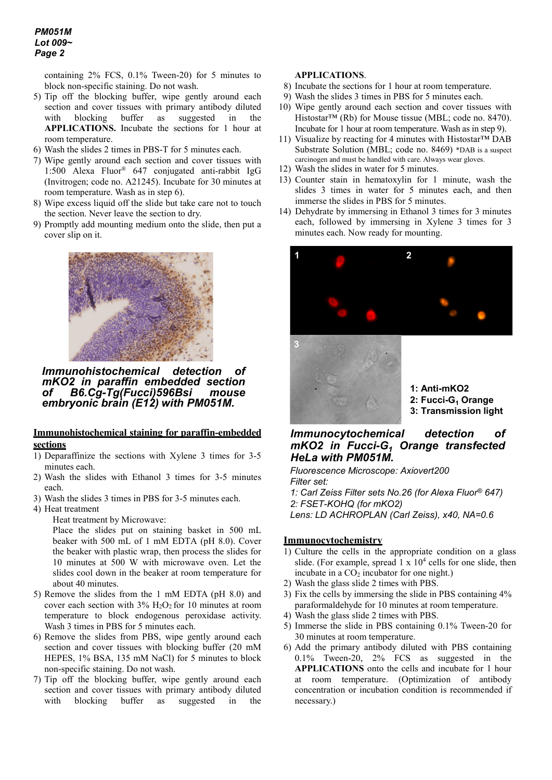containing 2% FCS, 0.1% Tween-20) for 5 minutes to block non-specific staining. Do not wash.

- 5) Tip off the blocking buffer, wipe gently around each section and cover tissues with primary antibody diluted with blocking buffer as suggested in the **APPLICATIONS.** Incubate the sections for 1 hour at room temperature.
- 6) Wash the slides 2 times in PBS-T for 5 minutes each.
- 7) Wipe gently around each section and cover tissues with 1:500 Alexa Fluor® 647 conjugated anti-rabbit IgG (Invitrogen; code no. A21245). Incubate for 30 minutes at room temperature. Wash as in step 6).
- 8) Wipe excess liquid off the slide but take care not to touch the section. Never leave the section to dry.
- 9) Promptly add mounting medium onto the slide, then put a cover slip on it.



*Immunohistochemical detection of mKO2 in paraffin embedded section of B6.Cg-Tg(Fucci)596Bsi mouse embryonic brain (E12) with PM051M.*

#### **Immunohistochemical staining for paraffin-embedded sections**

- 1) Deparaffinize the sections with Xylene 3 times for 3-5 minutes each.
- 2) Wash the slides with Ethanol 3 times for 3-5 minutes each.
- 3) Wash the slides 3 times in PBS for 3-5 minutes each.
- 4) Heat treatment
	- Heat treatment by Microwave:

Place the slides put on staining basket in 500 mL beaker with 500 mL of 1 mM EDTA (pH 8.0). Cover the beaker with plastic wrap, then process the slides for 10 minutes at 500 W with microwave oven. Let the slides cool down in the beaker at room temperature for about 40 minutes.

- 5) Remove the slides from the 1 mM EDTA (pH 8.0) and cover each section with  $3\%$  H<sub>2</sub>O<sub>2</sub> for 10 minutes at room temperature to block endogenous peroxidase activity. Wash 3 times in PBS for 5 minutes each.
- 6) Remove the slides from PBS, wipe gently around each section and cover tissues with blocking buffer (20 mM HEPES, 1% BSA, 135 mM NaCl) for 5 minutes to block non-specific staining. Do not wash.
- 7) Tip off the blocking buffer, wipe gently around each section and cover tissues with primary antibody diluted with blocking buffer as suggested in the

#### **APPLICATIONS**.

- 8) Incubate the sections for 1 hour at room temperature.
- 9) Wash the slides 3 times in PBS for 5 minutes each.
- 10) Wipe gently around each section and cover tissues with Histostar™ (Rb) for Mouse tissue (MBL; code no. 8470). Incubate for 1 hour at room temperature. Wash as in step 9).
- 11) Visualize by reacting for 4 minutes with Histostar™ DAB Substrate Solution (MBL; code no. 8469) \*DAB is a suspect carcinogen and must be handled with care. Always wear gloves.
- 12) Wash the slides in water for 5 minutes.
- 13) Counter stain in hematoxylin for 1 minute, wash the slides 3 times in water for 5 minutes each, and then immerse the slides in PBS for 5 minutes.
- 14) Dehydrate by immersing in Ethanol 3 times for 3 minutes each, followed by immersing in Xylene 3 times for 3 minutes each. Now ready for mounting.





**1: Anti-mKO2 2: Fucci-G1 Orange 3: Transmission light**

## *Immunocytochemical detection of mKO2 in Fucci-G1 Orange transfected HeLa with PM051M.*

*Fluorescence Microscope: Axiovert200 Filter set: 1: Carl Zeiss Filter sets No.26 (for Alexa Fluor® 647) 2: FSET-KOHQ (for mKO2)*

*Lens: LD ACHROPLAN (Carl Zeiss), x40, NA=0.6*

## **Immunocytochemistry**

- 1) Culture the cells in the appropriate condition on a glass slide. (For example, spread  $1 \times 10^4$  cells for one slide, then incubate in a  $CO<sub>2</sub>$  incubator for one night.)
- 2) Wash the glass slide 2 times with PBS.
- 3) Fix the cells by immersing the slide in PBS containing 4% paraformaldehyde for 10 minutes at room temperature.
- 4) Wash the glass slide 2 times with PBS.
- 5) Immerse the slide in PBS containing 0.1% Tween-20 for 30 minutes at room temperature.
- 6) Add the primary antibody diluted with PBS containing 0.1% Tween-20, 2% FCS as suggested in the **APPLICATIONS** onto the cells and incubate for 1 hour at room temperature. (Optimization of antibody concentration or incubation condition is recommended if necessary.)